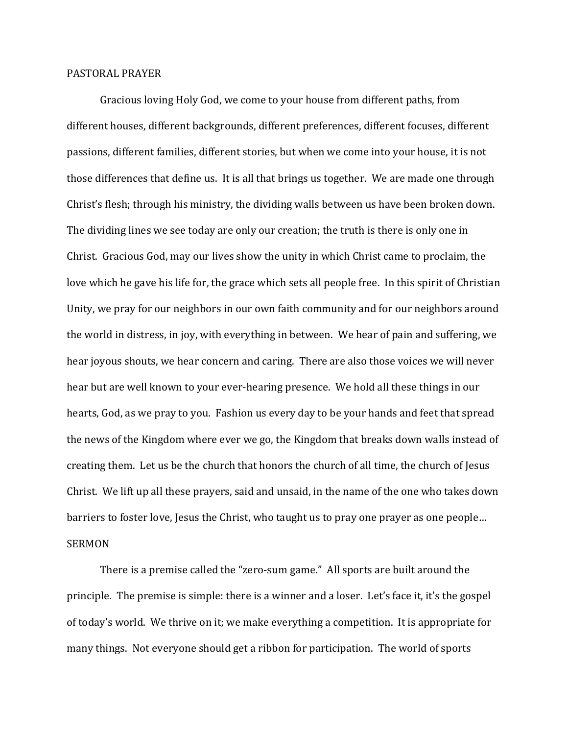## PASTORAL PRAYER

 Gracious loving Holy God, we come to your house from different paths, from different houses, different backgrounds, different preferences, different focuses, different passions, different families, different stories, but when we come into your house, it is not those differences that define us. It is all that brings us together. We are made one through Christ's flesh; through his ministry, the dividing walls between us have been broken down. The dividing lines we see today are only our creation; the truth is there is only one in Christ. Gracious God, may our lives show the unity in which Christ came to proclaim, the love which he gave his life for, the grace which sets all people free. In this spirit of Christian Unity, we pray for our neighbors in our own faith community and for our neighbors around the world in distress, in joy, with everything in between. We hear of pain and suffering, we hear joyous shouts, we hear concern and caring. There are also those voices we will never hear but are well known to your ever-hearing presence. We hold all these things in our hearts, God, as we pray to you. Fashion us every day to be your hands and feet that spread the news of the Kingdom where ever we go, the Kingdom that breaks down walls instead of creating them. Let us be the church that honors the church of all time, the church of Jesus Christ. We lift up all these prayers, said and unsaid, in the name of the one who takes down barriers to foster love, Jesus the Christ, who taught us to pray one prayer as one people… SERMON

There is a premise called the "zero-sum game." All sports are built around the principle. The premise is simple: there is a winner and a loser. Let's face it, it's the gospel of today's world. We thrive on it; we make everything a competition. It is appropriate for many things. Not everyone should get a ribbon for participation. The world of sports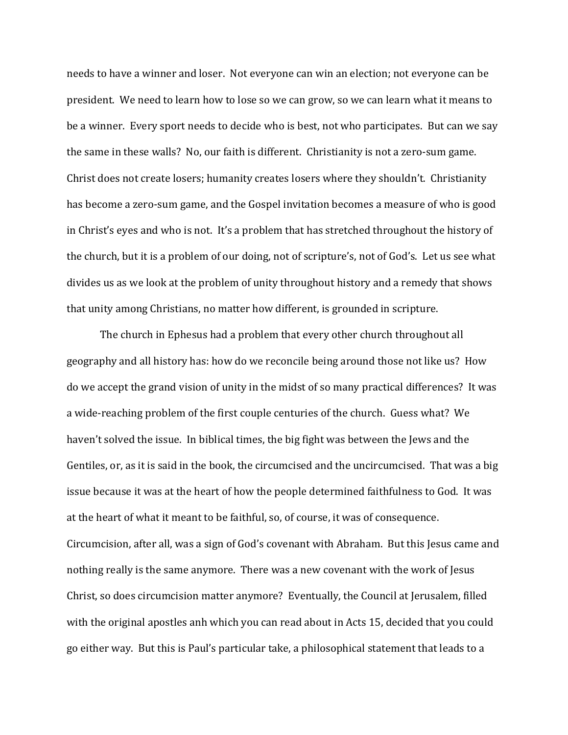needs to have a winner and loser. Not everyone can win an election; not everyone can be president. We need to learn how to lose so we can grow, so we can learn what it means to be a winner. Every sport needs to decide who is best, not who participates. But can we say the same in these walls? No, our faith is different. Christianity is not a zero-sum game. Christ does not create losers; humanity creates losers where they shouldn't. Christianity has become a zero-sum game, and the Gospel invitation becomes a measure of who is good in Christ's eyes and who is not. It's a problem that has stretched throughout the history of the church, but it is a problem of our doing, not of scripture's, not of God's. Let us see what divides us as we look at the problem of unity throughout history and a remedy that shows that unity among Christians, no matter how different, is grounded in scripture.

 The church in Ephesus had a problem that every other church throughout all geography and all history has: how do we reconcile being around those not like us? How do we accept the grand vision of unity in the midst of so many practical differences? It was a wide-reaching problem of the first couple centuries of the church. Guess what? We haven't solved the issue. In biblical times, the big fight was between the Jews and the Gentiles, or, as it is said in the book, the circumcised and the uncircumcised. That was a big issue because it was at the heart of how the people determined faithfulness to God. It was at the heart of what it meant to be faithful, so, of course, it was of consequence. Circumcision, after all, was a sign of God's covenant with Abraham. But this Jesus came and nothing really is the same anymore. There was a new covenant with the work of Jesus Christ, so does circumcision matter anymore? Eventually, the Council at Jerusalem, filled with the original apostles anh which you can read about in Acts 15, decided that you could go either way. But this is Paul's particular take, a philosophical statement that leads to a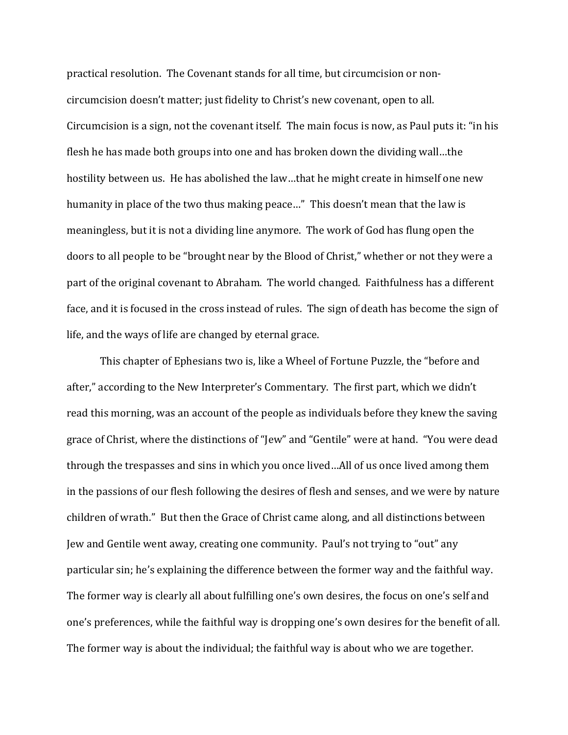practical resolution. The Covenant stands for all time, but circumcision or noncircumcision doesn't matter; just fidelity to Christ's new covenant, open to all. Circumcision is a sign, not the covenant itself. The main focus is now, as Paul puts it: "in his flesh he has made both groups into one and has broken down the dividing wall…the hostility between us. He has abolished the law…that he might create in himself one new humanity in place of the two thus making peace…" This doesn't mean that the law is meaningless, but it is not a dividing line anymore. The work of God has flung open the doors to all people to be "brought near by the Blood of Christ," whether or not they were a part of the original covenant to Abraham. The world changed. Faithfulness has a different face, and it is focused in the cross instead of rules. The sign of death has become the sign of life, and the ways of life are changed by eternal grace.

 This chapter of Ephesians two is, like a Wheel of Fortune Puzzle, the "before and after," according to the New Interpreter's Commentary. The first part, which we didn't read this morning, was an account of the people as individuals before they knew the saving grace of Christ, where the distinctions of "Jew" and "Gentile" were at hand. "You were dead through the trespasses and sins in which you once lived…All of us once lived among them in the passions of our flesh following the desires of flesh and senses, and we were by nature children of wrath." But then the Grace of Christ came along, and all distinctions between Jew and Gentile went away, creating one community. Paul's not trying to "out" any particular sin; he's explaining the difference between the former way and the faithful way. The former way is clearly all about fulfilling one's own desires, the focus on one's self and one's preferences, while the faithful way is dropping one's own desires for the benefit of all. The former way is about the individual; the faithful way is about who we are together.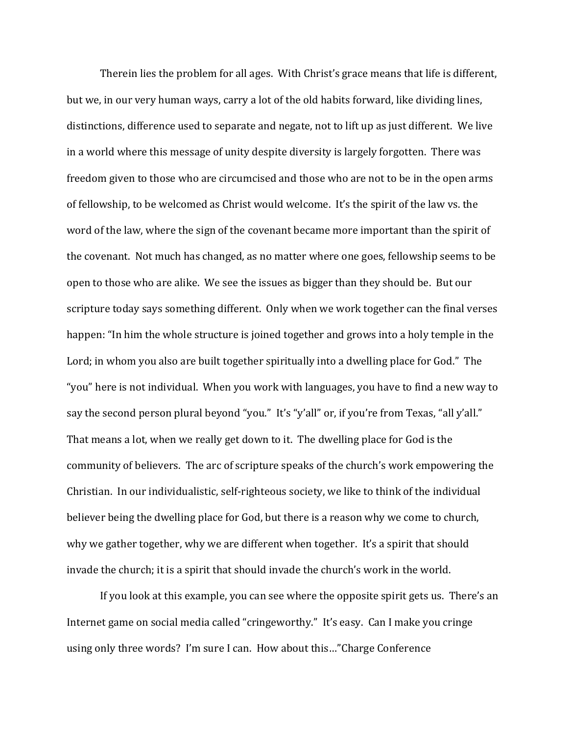Therein lies the problem for all ages. With Christ's grace means that life is different, but we, in our very human ways, carry a lot of the old habits forward, like dividing lines, distinctions, difference used to separate and negate, not to lift up as just different. We live in a world where this message of unity despite diversity is largely forgotten. There was freedom given to those who are circumcised and those who are not to be in the open arms of fellowship, to be welcomed as Christ would welcome. It's the spirit of the law vs. the word of the law, where the sign of the covenant became more important than the spirit of the covenant. Not much has changed, as no matter where one goes, fellowship seems to be open to those who are alike. We see the issues as bigger than they should be. But our scripture today says something different. Only when we work together can the final verses happen: "In him the whole structure is joined together and grows into a holy temple in the Lord; in whom you also are built together spiritually into a dwelling place for God." The "you" here is not individual. When you work with languages, you have to find a new way to say the second person plural beyond "you." It's "y'all" or, if you're from Texas, "all y'all." That means a lot, when we really get down to it. The dwelling place for God is the community of believers. The arc of scripture speaks of the church's work empowering the Christian. In our individualistic, self-righteous society, we like to think of the individual believer being the dwelling place for God, but there is a reason why we come to church, why we gather together, why we are different when together. It's a spirit that should invade the church; it is a spirit that should invade the church's work in the world.

If you look at this example, you can see where the opposite spirit gets us. There's an Internet game on social media called "cringeworthy." It's easy. Can I make you cringe using only three words? I'm sure I can. How about this…"Charge Conference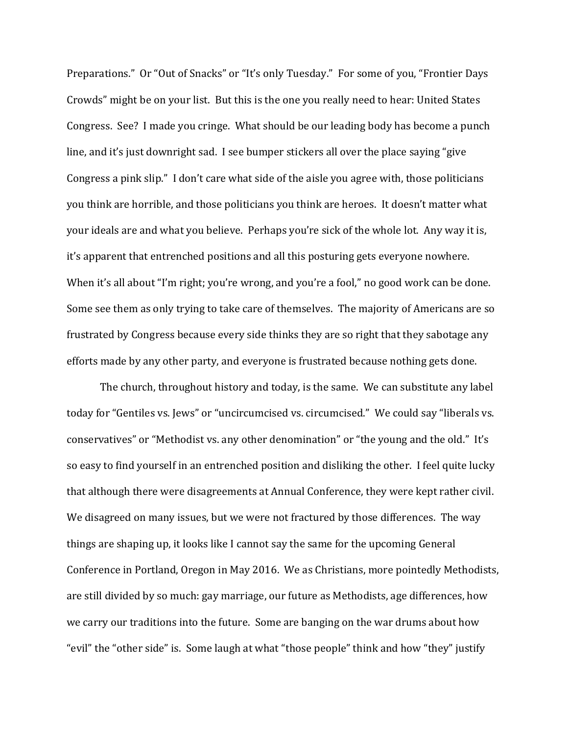Preparations." Or "Out of Snacks" or "It's only Tuesday." For some of you, "Frontier Days Crowds" might be on your list. But this is the one you really need to hear: United States Congress. See? I made you cringe. What should be our leading body has become a punch line, and it's just downright sad. I see bumper stickers all over the place saying "give Congress a pink slip." I don't care what side of the aisle you agree with, those politicians you think are horrible, and those politicians you think are heroes. It doesn't matter what your ideals are and what you believe. Perhaps you're sick of the whole lot. Any way it is, it's apparent that entrenched positions and all this posturing gets everyone nowhere. When it's all about "I'm right; you're wrong, and you're a fool," no good work can be done. Some see them as only trying to take care of themselves. The majority of Americans are so frustrated by Congress because every side thinks they are so right that they sabotage any efforts made by any other party, and everyone is frustrated because nothing gets done.

The church, throughout history and today, is the same. We can substitute any label today for "Gentiles vs. Jews" or "uncircumcised vs. circumcised." We could say "liberals vs. conservatives" or "Methodist vs. any other denomination" or "the young and the old." It's so easy to find yourself in an entrenched position and disliking the other. I feel quite lucky that although there were disagreements at Annual Conference, they were kept rather civil. We disagreed on many issues, but we were not fractured by those differences. The way things are shaping up, it looks like I cannot say the same for the upcoming General Conference in Portland, Oregon in May 2016. We as Christians, more pointedly Methodists, are still divided by so much: gay marriage, our future as Methodists, age differences, how we carry our traditions into the future. Some are banging on the war drums about how "evil" the "other side" is. Some laugh at what "those people" think and how "they" justify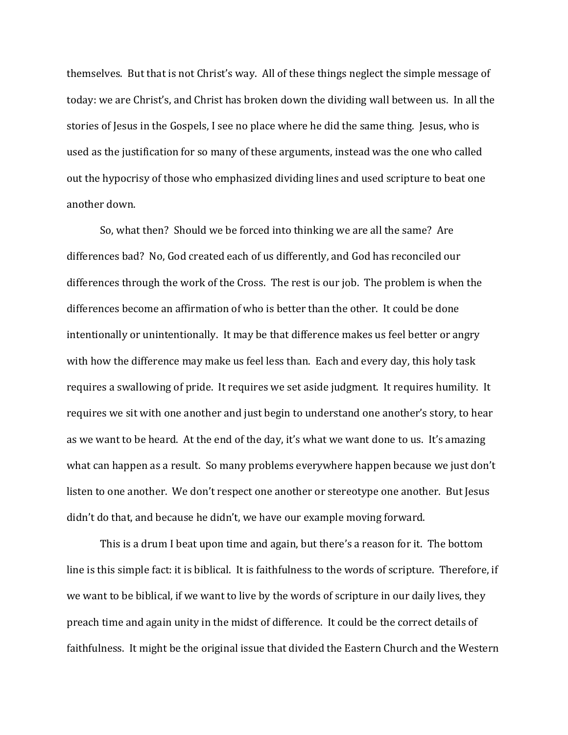themselves. But that is not Christ's way. All of these things neglect the simple message of today: we are Christ's, and Christ has broken down the dividing wall between us. In all the stories of Jesus in the Gospels, I see no place where he did the same thing. Jesus, who is used as the justification for so many of these arguments, instead was the one who called out the hypocrisy of those who emphasized dividing lines and used scripture to beat one another down.

So, what then? Should we be forced into thinking we are all the same? Are differences bad? No, God created each of us differently, and God has reconciled our differences through the work of the Cross. The rest is our job. The problem is when the differences become an affirmation of who is better than the other. It could be done intentionally or unintentionally. It may be that difference makes us feel better or angry with how the difference may make us feel less than. Each and every day, this holy task requires a swallowing of pride. It requires we set aside judgment. It requires humility. It requires we sit with one another and just begin to understand one another's story, to hear as we want to be heard. At the end of the day, it's what we want done to us. It's amazing what can happen as a result. So many problems everywhere happen because we just don't listen to one another. We don't respect one another or stereotype one another. But Jesus didn't do that, and because he didn't, we have our example moving forward.

This is a drum I beat upon time and again, but there's a reason for it. The bottom line is this simple fact: it is biblical. It is faithfulness to the words of scripture. Therefore, if we want to be biblical, if we want to live by the words of scripture in our daily lives, they preach time and again unity in the midst of difference. It could be the correct details of faithfulness. It might be the original issue that divided the Eastern Church and the Western